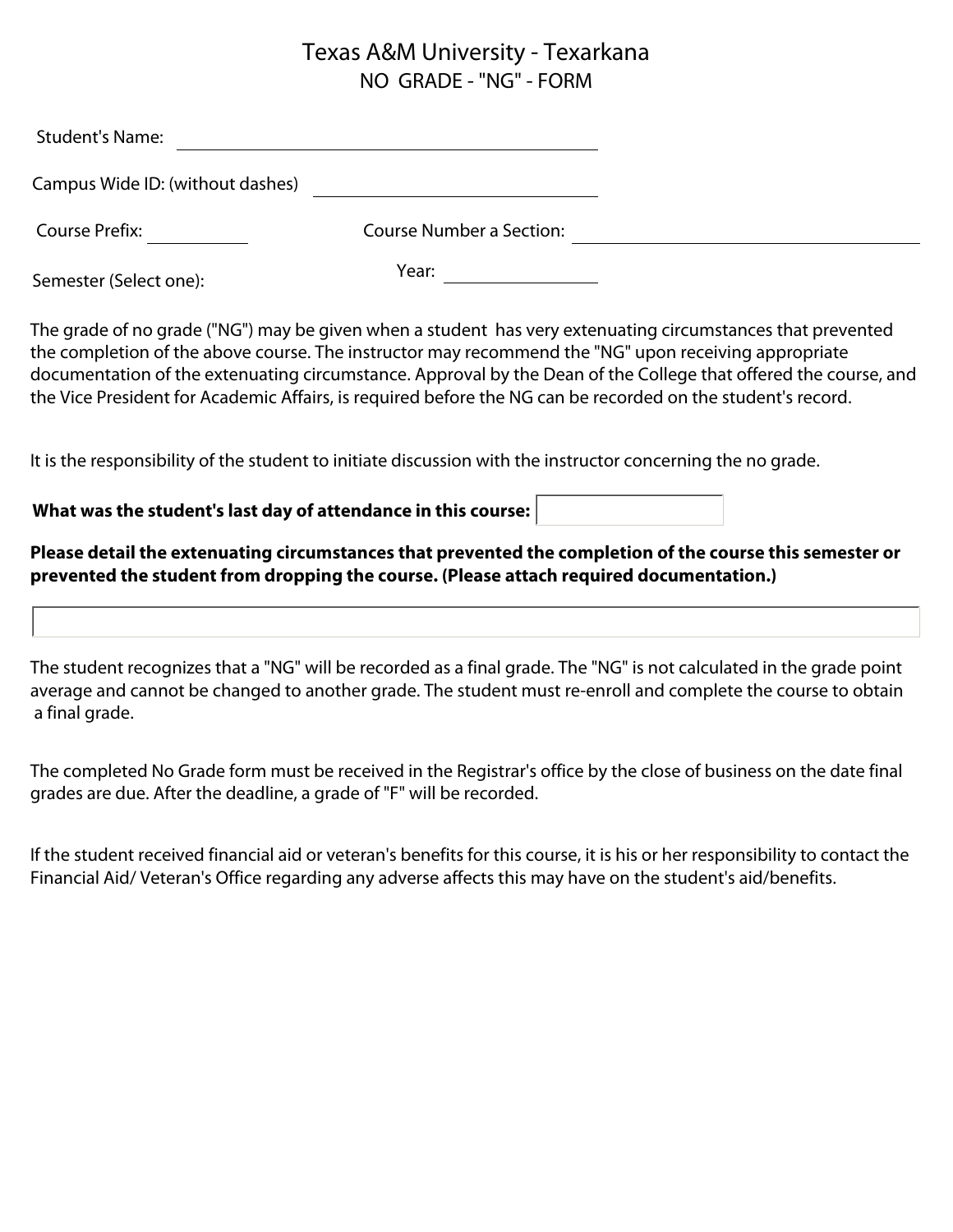## Texas A&M University - Texarkana NO GRADE - "NG" - FORM

| <b>Student's Name:</b>           |                                 |  |
|----------------------------------|---------------------------------|--|
| Campus Wide ID: (without dashes) |                                 |  |
| Course Prefix:                   | <b>Course Number a Section:</b> |  |
| Semester (Select one):           | Year:                           |  |

The grade of no grade ("NG") may be given when a student has very extenuating circumstances that prevented the completion of the above course. The instructor may recommend the "NG" upon receiving appropriate documentation of the extenuating circumstance. Approval by the Dean of the College that offered the course, and the Vice President for Academic Affairs, is required before the NG can be recorded on the student's record.

It is the responsibility of the student to initiate discussion with the instructor concerning the no grade.

## What was the student's last day of attendance in this course: |

## Please detail the extenuating circumstances that prevented the completion of the course this semester or prevented the student from dropping the course. (Please attach required documentation.)

The student recognizes that a "NG" will be recorded as a final grade. The "NG" is not calculated in the grade point average and cannot be changed to another grade. The student must re-enroll and complete the course to obtain a final grade.

The completed No Grade form must be received in the Registrar's office by the close of business on the date final grades are due. After the deadline, a grade of "F" will be recorded.

If the student received financial aid or veteran's benefits for this course, it is his or her responsibility to contact the Financial Aid/Veteran's Office regarding any adverse affects this may have on the student's aid/benefits.